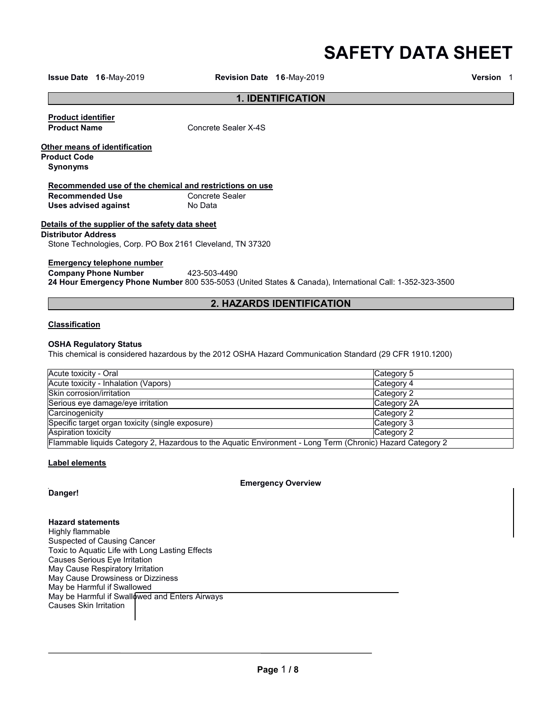**SAFETY DATA SHEET**

**Issue Date 16**-May-2019 **Revision Date 16**-May-2019 **Version** 1

#### **1. IDENTIFICATION**

**Product identifier** 

**Concrete Sealer X-4S** 

**Other means of identification Product Code**

**Synonyms**

# **Recommended use of the chemical and restrictions on use**

**Recommended Use Concrete**<br> **Uses advised against No Data Uses advised against** 

#### **Details of the supplier of the safety data sheet**

#### **Distributor Address**

Stone Technologies, Corp. PO Box 2161 Cleveland, TN 37320

#### **Emergency telephone number**

**Company Phone Number** 423-503-4490 **24 Hour Emergency Phone Number** 800 535-5053 (United States & Canada), International Call: 1-352-323-3500

### **2. HAZARDS IDENTIFICATION**

#### **Classification**

#### **OSHA Regulatory Status**

This chemical is considered hazardous by the 2012 OSHA Hazard Communication Standard (29 CFR 1910.1200)

| Acute toxicity - Oral                                                                                      | Category 5  |
|------------------------------------------------------------------------------------------------------------|-------------|
| Acute toxicity - Inhalation (Vapors)                                                                       | Category 4  |
| Skin corrosion/irritation                                                                                  | Category 2  |
| Serious eye damage/eye irritation                                                                          | Category 2A |
| Carcinogenicity                                                                                            | Category 2  |
| Specific target organ toxicity (single exposure)                                                           | Category 3  |
| <b>Aspiration toxicity</b>                                                                                 | Category 2  |
| Flammable liquids Category 2, Hazardous to the Aquatic Environment - Long Term (Chronic) Hazard Category 2 |             |

#### **Label elements**

**Emergency Overview**

**Danger!**

**Hazard statements** Highly flammable Suspected of Causing Cancer Toxic to Aquatic Life with Long Lasting Effects Causes Serious Eye Irritation May Cause Respiratory Irritation May Cause Drowsiness or Dizziness May be Harmful if Swallowed May be Harmful if Swallowed and Enters Airways Causes Skin Irritation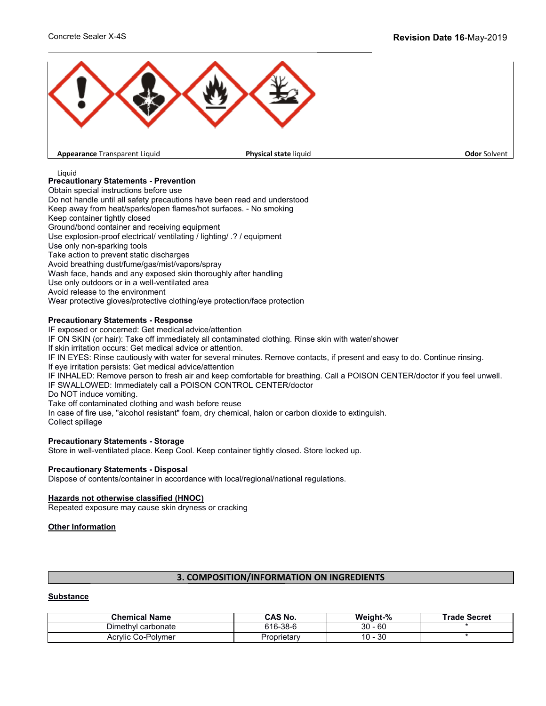

**Appearance** Transparent Liquid

**Physical state liquid Construction Construction Construction Construction Construction Construction Construction Construction Construction Construction Construction Construction Construction Construction Construction Cons** 

Liquid

## **Precautionary Statements - Prevention**

Obtain special instructions before use

Do not handle until all safety precautions have been read and understood Keep away from heat/sparks/open flames/hot surfaces. - No smoking

Keep container tightly closed

Ground/bond container and receiving equipment

Use explosion-proof electrical/ ventilating / lighting/ .? / equipment

Use only non-sparking tools

Take action to prevent static discharges

Avoid breathing dust/fume/gas/mist/vapors/spray

Wash face, hands and any exposed skin thoroughly after handling

Use only outdoors or in a well-ventilated area

Avoid release to the environment

Wear protective gloves/protective clothing/eye protection/face protection

#### **Precautionary Statements - Response**

IF exposed or concerned: Get medical advice/attention IF ON SKIN (or hair): Take off immediately all contaminated clothing. Rinse skin with water/shower If skin irritation occurs: Get medical advice or attention. IF IN EYES: Rinse cautiously with water for several minutes. Remove contacts, if present and easy to do. Continue rinsing. If eye irritation persists: Get medical advice/attention IF INHALED: Remove person to fresh air and keep comfortable for breathing. Call a POISON CENTER/doctor if you feel unwell. IF SWALLOWED: Immediately call a POISON CONTROL CENTER/doctor Do NOT induce vomiting. Take off contaminated clothing and wash before reuse In case of fire use, "alcohol resistant" foam, dry chemical, halon or carbon dioxide to extinguish. Collect spillage

#### **Precautionary Statements - Storage**

Store in well-ventilated place. Keep Cool. Keep container tightly closed. Store locked up.

#### **Precautionary Statements - Disposal**

Dispose of contents/container in accordance with local/regional/national regulations.

#### **Hazards not otherwise classified (HNOC)**

Repeated exposure may cause skin dryness or cracking

**Other Information** 

#### **3. COMPOSITION/INFORMATION ON INGREDIENTS**

#### **Substance**

| <b>Chemical Name</b> | CAS No.     | Weight-%     | <b>Frade Secret</b> |
|----------------------|-------------|--------------|---------------------|
| Dimethyl carbonate   | 616-38-6    | 60<br>30     |                     |
| Acrylic Co-Polymer   | Proprietary | 30<br>$10 -$ |                     |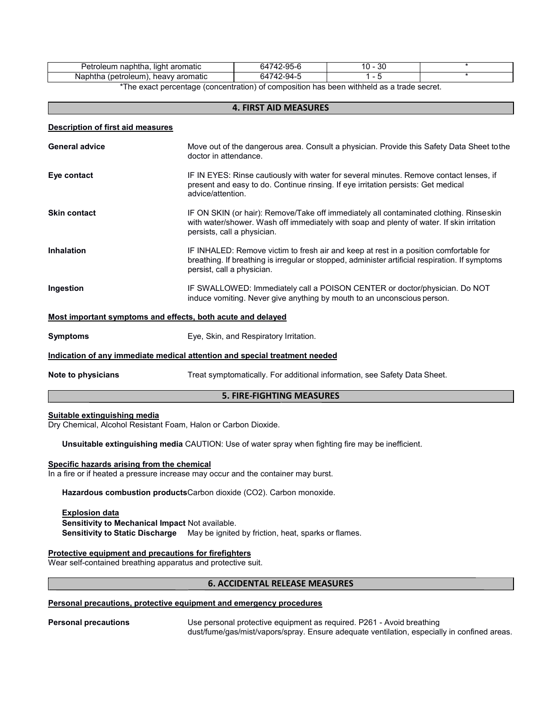| .<br>bhtha<br>≌etr<br>aromatic<br>.oleum<br>nac<br>liaht | $7-9F$<br>$\sim$<br>74<br>64<br>ാാ-ന | oc<br>10<br>υc<br>- - |  |
|----------------------------------------------------------|--------------------------------------|-----------------------|--|
| aromatic<br>troleum:<br>heavy<br>(betr<br>Napt<br>nınə   | 74<br>- 44 -<br>'nΔ                  |                       |  |

\*The exact percentage (concentration) of composition has been withheld as a trade secret.

| <b>4. FIRST AID MEASURES</b>                                               |                                                                                                                                                                                                                        |  |
|----------------------------------------------------------------------------|------------------------------------------------------------------------------------------------------------------------------------------------------------------------------------------------------------------------|--|
| <b>Description of first aid measures</b>                                   |                                                                                                                                                                                                                        |  |
| <b>General advice</b>                                                      | Move out of the dangerous area. Consult a physician. Provide this Safety Data Sheet tothe<br>doctor in attendance.                                                                                                     |  |
| Eye contact                                                                | IF IN EYES: Rinse cautiously with water for several minutes. Remove contact lenses, if<br>present and easy to do. Continue rinsing. If eye irritation persists: Get medical<br>advice/attention.                       |  |
| <b>Skin contact</b>                                                        | IF ON SKIN (or hair): Remove/Take off immediately all contaminated clothing. Rinseskin<br>with water/shower. Wash off immediately with soap and plenty of water. If skin irritation<br>persists, call a physician.     |  |
| <b>Inhalation</b>                                                          | IF INHALED: Remove victim to fresh air and keep at rest in a position comfortable for<br>breathing. If breathing is irregular or stopped, administer artificial respiration. If symptoms<br>persist, call a physician. |  |
| Ingestion                                                                  | IF SWALLOWED: Immediately call a POISON CENTER or doctor/physician. Do NOT<br>induce vomiting. Never give anything by mouth to an unconscious person.                                                                  |  |
| Most important symptoms and effects, both acute and delayed                |                                                                                                                                                                                                                        |  |
| <b>Symptoms</b>                                                            | Eye, Skin, and Respiratory Irritation.                                                                                                                                                                                 |  |
| Indication of any immediate medical attention and special treatment needed |                                                                                                                                                                                                                        |  |
| Note to physicians                                                         | Treat symptomatically. For additional information, see Safety Data Sheet.                                                                                                                                              |  |

# **5. FIRE-FIGHTING MEASURES**

#### **Suitable extinguishing media**

Dry Chemical, Alcohol Resistant Foam, Halon or Carbon Dioxide.

**Unsuitable extinguishing media** CAUTION: Use of water spray when fighting fire may be inefficient.

#### **Specific hazards arising from the chemical**

In a fire or if heated a pressure increase may occur and the container may burst.

**Hazardous combustion products**Carbon dioxide (CO2). Carbon monoxide.

#### **Explosion data**

**Sensitivity to Mechanical Impact** Not available. **Sensitivity to Static Discharge** May be ignited by friction, heat, sparks or flames.

#### **Protective equipment and precautions for firefighters**

Wear self-contained breathing apparatus and protective suit.

#### **6. ACCIDENTAL RELEASE MEASURES**

#### **Personal precautions, protective equipment and emergency procedures**

**Personal precautions** Use personal protective equipment as required. P261 - Avoid breathing dust/fume/gas/mist/vapors/spray. Ensure adequate ventilation, especially in confined areas.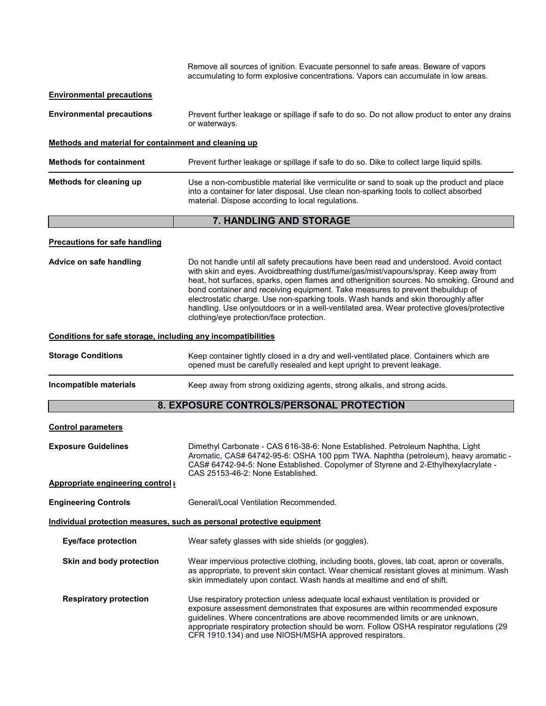|                                                              | Remove all sources of ignition. Evacuate personnel to safe areas. Beware of vapors<br>accumulating to form explosive concentrations. Vapors can accumulate in low areas.                                                                                                                                                                                                                                                                                                                                                                                                                      |
|--------------------------------------------------------------|-----------------------------------------------------------------------------------------------------------------------------------------------------------------------------------------------------------------------------------------------------------------------------------------------------------------------------------------------------------------------------------------------------------------------------------------------------------------------------------------------------------------------------------------------------------------------------------------------|
| <b>Environmental precautions</b>                             |                                                                                                                                                                                                                                                                                                                                                                                                                                                                                                                                                                                               |
| <b>Environmental precautions</b>                             | Prevent further leakage or spillage if safe to do so. Do not allow product to enter any drains<br>or waterways.                                                                                                                                                                                                                                                                                                                                                                                                                                                                               |
| Methods and material for containment and cleaning up         |                                                                                                                                                                                                                                                                                                                                                                                                                                                                                                                                                                                               |
| <b>Methods for containment</b>                               | Prevent further leakage or spillage if safe to do so. Dike to collect large liquid spills.                                                                                                                                                                                                                                                                                                                                                                                                                                                                                                    |
| Methods for cleaning up                                      | Use a non-combustible material like vermiculite or sand to soak up the product and place<br>into a container for later disposal. Use clean non-sparking tools to collect absorbed<br>material. Dispose according to local regulations.                                                                                                                                                                                                                                                                                                                                                        |
|                                                              | 7. HANDLING AND STORAGE                                                                                                                                                                                                                                                                                                                                                                                                                                                                                                                                                                       |
| <b>Precautions for safe handling</b>                         |                                                                                                                                                                                                                                                                                                                                                                                                                                                                                                                                                                                               |
| Advice on safe handling                                      | Do not handle until all safety precautions have been read and understood. Avoid contact<br>with skin and eyes. Avoidbreathing dust/fume/gas/mist/vapours/spray. Keep away from<br>heat, hot surfaces, sparks, open flames and otherignition sources. No smoking. Ground and<br>bond container and receiving equipment. Take measures to prevent thebuildup of<br>electrostatic charge. Use non-sparking tools. Wash hands and skin thoroughly after<br>handling. Use onlyoutdoors or in a well-ventilated area. Wear protective gloves/protective<br>clothing/eye protection/face protection. |
| Conditions for safe storage, including any incompatibilities |                                                                                                                                                                                                                                                                                                                                                                                                                                                                                                                                                                                               |
| <b>Storage Conditions</b>                                    | Keep container tightly closed in a dry and well-ventilated place. Containers which are<br>opened must be carefully resealed and kept upright to prevent leakage.                                                                                                                                                                                                                                                                                                                                                                                                                              |
| Incompatible materials                                       | Keep away from strong oxidizing agents, strong alkalis, and strong acids.                                                                                                                                                                                                                                                                                                                                                                                                                                                                                                                     |
|                                                              | 8. EXPOSURE CONTROLS/PERSONAL PROTECTION                                                                                                                                                                                                                                                                                                                                                                                                                                                                                                                                                      |
| <b>Control parameters</b>                                    |                                                                                                                                                                                                                                                                                                                                                                                                                                                                                                                                                                                               |
| <b>Exposure Guidelines</b>                                   | Dimethyl Carbonate - CAS 616-38-6: None Established. Petroleum Naphtha, Light<br>Aromatic, CAS# 64742-95-6: OSHA 100 ppm TWA. Naphtha (petroleum), heavy aromatic -<br>CAS# 64742-94-5: None Established. Copolymer of Styrene and 2-Ethylhexylacrylate -<br>CAS 25153-46-2: None Established.                                                                                                                                                                                                                                                                                                |
| <b>Appropriate engineering controls</b>                      |                                                                                                                                                                                                                                                                                                                                                                                                                                                                                                                                                                                               |
| <b>Engineering Controls</b>                                  | General/Local Ventilation Recommended.                                                                                                                                                                                                                                                                                                                                                                                                                                                                                                                                                        |
|                                                              | Individual protection measures, such as personal protective equipment                                                                                                                                                                                                                                                                                                                                                                                                                                                                                                                         |
| <b>Eye/face protection</b>                                   | Wear safety glasses with side shields (or goggles).                                                                                                                                                                                                                                                                                                                                                                                                                                                                                                                                           |
| Skin and body protection                                     | Wear impervious protective clothing, including boots, gloves, lab coat, apron or coveralls,<br>as appropriate, to prevent skin contact. Wear chemical resistant gloves at minimum. Wash<br>skin immediately upon contact. Wash hands at mealtime and end of shift.                                                                                                                                                                                                                                                                                                                            |
| <b>Respiratory protection</b>                                | Use respiratory protection unless adequate local exhaust ventilation is provided or<br>exposure assessment demonstrates that exposures are within recommended exposure<br>guidelines. Where concentrations are above recommended limits or are unknown,<br>appropriate respiratory protection should be worn. Follow OSHA respirator regulations (29<br>CFR 1910.134) and use NIOSH/MSHA approved respirators.                                                                                                                                                                                |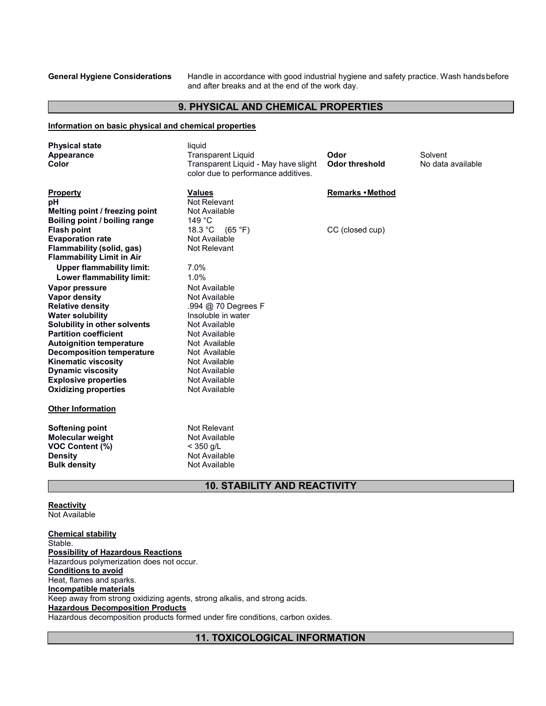**General Hygiene Considerations** Handle in accordance with good industrial hygiene and safety practice. Wash handsbefore and after breaks and at the end of the work day.

#### **9. PHYSICAL AND CHEMICAL PROPERTIES**

#### **Information on basic physical and chemical properties**

| <b>Physical state</b><br>Appearance<br>Color                                                                                                                                                                                                                                                                                                                | liquid<br><b>Transparent Liquid</b><br>Transparent Liquid - May have slight<br>color due to performance additives.                                                                                                  | Odor<br><b>Odor threshold</b> | Solvent<br>No data available |
|-------------------------------------------------------------------------------------------------------------------------------------------------------------------------------------------------------------------------------------------------------------------------------------------------------------------------------------------------------------|---------------------------------------------------------------------------------------------------------------------------------------------------------------------------------------------------------------------|-------------------------------|------------------------------|
| <b>Property</b><br>рH<br>Melting point / freezing point<br>Boiling point / boiling range                                                                                                                                                                                                                                                                    | <b>Values</b><br>Not Relevant<br>Not Available<br>149 °C                                                                                                                                                            | Remarks • Method              |                              |
| <b>Flash point</b><br><b>Evaporation rate</b><br>Flammability (solid, gas)<br><b>Flammability Limit in Air</b>                                                                                                                                                                                                                                              | 18.3 °C<br>(65 °F)<br>Not Available<br>Not Relevant                                                                                                                                                                 | CC (closed cup)               |                              |
| <b>Upper flammability limit:</b><br>Lower flammability limit:                                                                                                                                                                                                                                                                                               | 7.0%<br>1.0%                                                                                                                                                                                                        |                               |                              |
| Vapor pressure<br><b>Vapor density</b><br><b>Relative density</b><br><b>Water solubility</b><br>Solubility in other solvents<br><b>Partition coefficient</b><br><b>Autoignition temperature</b><br><b>Decomposition temperature</b><br><b>Kinematic viscosity</b><br><b>Dynamic viscosity</b><br><b>Explosive properties</b><br><b>Oxidizing properties</b> | Not Available<br>Not Available<br>.994 @ 70 Degrees F<br>Insoluble in water<br>Not Available<br>Not Available<br>Not Available<br>Not Available<br>Not Available<br>Not Available<br>Not Available<br>Not Available |                               |                              |
| <b>Other Information</b>                                                                                                                                                                                                                                                                                                                                    |                                                                                                                                                                                                                     |                               |                              |
| <b>Softening point</b><br><b>Molecular weight</b><br><b>VOC Content (%)</b><br><b>Density</b><br><b>Bulk density</b>                                                                                                                                                                                                                                        | Not Relevant<br>Not Available<br>$<$ 350 g/L<br>Not Available<br>Not Available                                                                                                                                      |                               |                              |

### **10. STABILITY AND REACTIVITY**

# **Reactivity**

Not Available

**Chemical stability** Stable. **Possibility of Hazardous Reactions** Hazardous polymerization does not occur. **Conditions to avoid** Heat, flames and sparks. **Incompatible materials** Keep away from strong oxidizing agents, strong alkalis, and strong acids. **Hazardous Decomposition Products** Hazardous decomposition products formed under fire conditions, carbon oxides.

**11. TOXICOLOGICAL INFORMATION**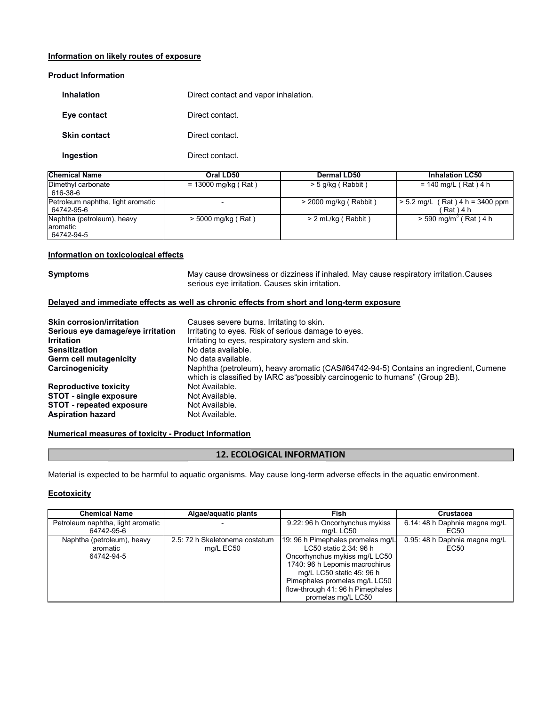#### **Information on likely routes of exposure**

#### **Product Information**

| Inhalation          | Direct contact and vapor inhalation. |
|---------------------|--------------------------------------|
| Eye contact         | Direct contact.                      |
| <b>Skin contact</b> | Direct contact.                      |
| Ingestion           | Direct contact.                      |

| <b>Chemical Name</b>                                  | Oral LD50             | Dermal LD50             | <b>Inhalation LC50</b>                              |
|-------------------------------------------------------|-----------------------|-------------------------|-----------------------------------------------------|
| Dimethyl carbonate<br>616-38-6                        | $= 13000$ mg/kg (Rat) | $>$ 5 g/kg (Rabbit)     | $= 140$ mg/L (Rat) 4 h                              |
| Petroleum naphtha, light aromatic<br>64742-95-6       |                       | $>$ 2000 mg/kg (Rabbit) | $(Rat)$ 4 h = 3400 ppm<br>$> 5.2$ mg/L<br>Rat ) 4 h |
| Naphtha (petroleum), heavy<br>laromatic<br>64742-94-5 | $>$ 5000 mg/kg (Rat)  | $> 2$ mL/kg (Rabbit)    | $>$ 590 mg/m <sup>3</sup> (Rat) 4 h                 |

#### **Information on toxicological effects**

**Symptoms** May cause drowsiness or dizziness if inhaled. May cause respiratory irritation.Causes serious eye irritation. Causes skin irritation.

#### **Delayed and immediate effects as well as chronic effects from short and long-term exposure**

| <b>Skin corrosion/irritation</b>  | Causes severe burns. Irritating to skin.                                                                                                                            |
|-----------------------------------|---------------------------------------------------------------------------------------------------------------------------------------------------------------------|
| Serious eye damage/eye irritation | Irritating to eyes. Risk of serious damage to eyes.                                                                                                                 |
| <b>Irritation</b>                 | Irritating to eyes, respiratory system and skin.                                                                                                                    |
| <b>Sensitization</b>              | No data available.                                                                                                                                                  |
| <b>Germ cell mutagenicity</b>     | No data available.                                                                                                                                                  |
| Carcinogenicity                   | Naphtha (petroleum), heavy aromatic (CAS#64742-94-5) Contains an ingredient, Cumene<br>which is classified by IARC as "possibly carcinogenic to humans" (Group 2B). |
| <b>Reproductive toxicity</b>      | Not Available.                                                                                                                                                      |
| <b>STOT - single exposure</b>     | Not Available.                                                                                                                                                      |
| <b>STOT - repeated exposure</b>   | Not Available.                                                                                                                                                      |
| <b>Aspiration hazard</b>          | Not Available.                                                                                                                                                      |

#### **Numerical measures of toxicity - Product Information**

### **12. ECOLOGICAL INFORMATION**

Material is expected to be harmful to aquatic organisms. May cause long-term adverse effects in the aquatic environment.

#### **Ecotoxicity**

| <b>Chemical Name</b>              | Algae/aquatic plants           | Fish                              | <b>Crustacea</b>              |
|-----------------------------------|--------------------------------|-----------------------------------|-------------------------------|
| Petroleum naphtha, light aromatic |                                | 9.22: 96 h Oncorhynchus mykiss    | 6.14: 48 h Daphnia magna mg/L |
| 64742-95-6                        |                                | mg/L LC50                         | EC50                          |
| Naphtha (petroleum), heavy        | 2.5: 72 h Skeletonema costatum | 19: 96 h Pimephales promelas mg/L | 0.95: 48 h Daphnia magna mg/L |
| aromatic                          | mg/L EC50                      | LC50 static 2.34: 96 h            | EC50                          |
| 64742-94-5                        |                                | Oncorhynchus mykiss mg/L LC50     |                               |
|                                   |                                | 1740: 96 h Lepomis macrochirus    |                               |
|                                   |                                | mg/L LC50 static 45: 96 h         |                               |
|                                   |                                | Pimephales promelas mg/L LC50     |                               |
|                                   |                                | flow-through 41: 96 h Pimephales  |                               |
|                                   |                                | promelas mg/L LC50                |                               |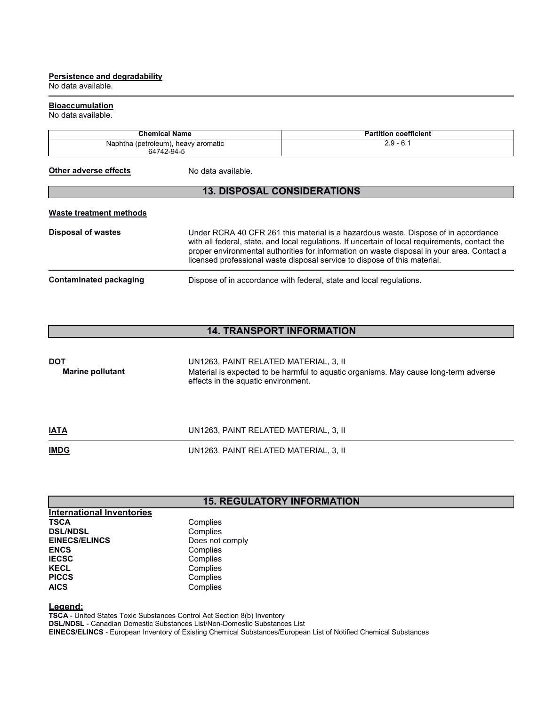#### **Persistence and degradability**

No data available.

#### **Bioaccumulation**

#### No data available.

| <b>Chemical Name</b>                | <b>Partition coefficient</b> |
|-------------------------------------|------------------------------|
| Naphtha (petroleum), heavy aromatic | 2.9 - 6.1                    |
| 64742-94-5                          |                              |

**Other adverse effects** No data available.

### **13. DISPOSAL CONSIDERATIONS**

#### **Waste treatment methods**

| <b>Disposal of wastes</b> | Under RCRA 40 CFR 261 this material is a hazardous waste. Dispose of in accordance<br>with all federal, state, and local regulations. If uncertain of local reguirements, contact the<br>proper environmental authorities for information on waste disposal in your area. Contact a<br>licensed professional waste disposal service to dispose of this material. |
|---------------------------|------------------------------------------------------------------------------------------------------------------------------------------------------------------------------------------------------------------------------------------------------------------------------------------------------------------------------------------------------------------|
| Contaminated packaging    | Dispose of in accordance with federal, state and local regulations.                                                                                                                                                                                                                                                                                              |

# **14. TRANSPORT INFORMATION**

| <b>DOT</b><br><b>Marine pollutant</b> | UN1263, PAINT RELATED MATERIAL, 3, II<br>Material is expected to be harmful to aquatic organisms. May cause long-term adverse<br>effects in the aquatic environment. |
|---------------------------------------|----------------------------------------------------------------------------------------------------------------------------------------------------------------------|
| <b>IATA</b>                           | UN1263, PAINT RELATED MATERIAL, 3, II                                                                                                                                |
| <b>IMDG</b>                           | UN1263, PAINT RELATED MATERIAL, 3, II                                                                                                                                |

# **15. REGULATORY INFORMATION**

| <b>International Inventories</b> |                 |
|----------------------------------|-----------------|
| <b>TSCA</b>                      | Complies        |
| <b>DSL/NDSL</b>                  | Complies        |
| <b>EINECS/ELINCS</b>             | Does not comply |
| <b>ENCS</b>                      | Complies        |
| <b>IECSC</b>                     | Complies        |
| <b>KECL</b>                      | Complies        |
| <b>PICCS</b>                     | Complies        |
| <b>AICS</b>                      | Complies        |

**Legend:** 

**TSCA** - United States Toxic Substances Control Act Section 8(b) Inventory

**DSL/NDSL** - Canadian Domestic Substances List/Non-Domestic Substances List

**EINECS/ELINCS** - European Inventory of Existing Chemical Substances/European List of Notified Chemical Substances